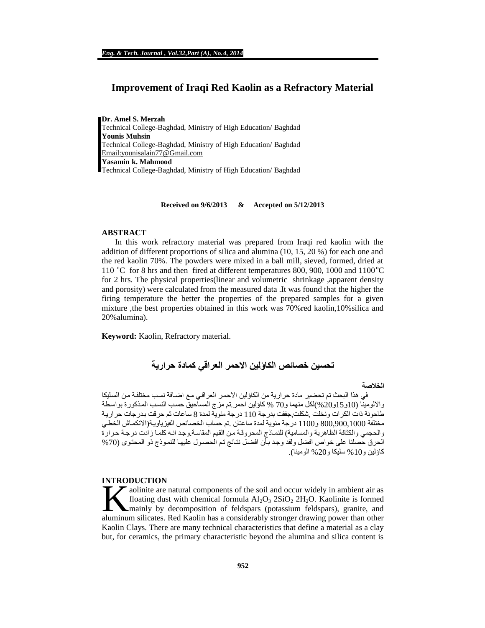# **Improvement of Iraqi Red Kaolin as a Refractory Material**

**Dr. Amel S. Merzah**  Technical College-Baghdad, Ministry of High Education/ Baghdad **Younis Muhsin**  Technical College-Baghdad, Ministry of High Education/ Baghdad [Email:younisalain77@Gmail.com](mailto:Email:younisalain77@Gmail.com) **Yasamin k. Mahmood**  Technical College-Baghdad, Ministry of High Education/ Baghdad

**Received on 9/6/2013 & Accepted on 5/12/2013**

#### **ABSTRACT**

In this work refractory material was prepared from Iraqi red kaolin with the addition of different proportions of silica and alumina (10, 15, 20 %) for each one and the red kaolin 70%. The powders were mixed in a ball mill, sieved, formed, dried at 110 °C for 8 hrs and then fired at different temperatures 800, 900, 1000 and 1100 °C for 2 hrs. The physical properties(linear and volumetric shrinkage ,apparent density and porosity) were calculated from the measured data .It was found that the higher the firing temperature the better the properties of the prepared samples for a given mixture ,the best properties obtained in this work was 70%red kaolin,10%silica and 20%alumina).

**Keyword:** Kaolin, Refractory material.

# **تحسین خصائص الكاؤلین الاحمر العراقي كمادة حراریة**

#### **الخلاصة**

في هذا البحث تم تحضير مادة حرارية من الكاؤلين الاحمر العراقي مع اضـافة نسب مختلفة من السليكا والالومینا (10و15و20%)لكل منهما و70 % كاؤلین احمر تم مزج المساحیق حسب النسب المذكورة بواسطة طاحونة ذات الكرات ونخلت ,شكلت,جففت بدرجة 110 درجة مئوية لمدة 8 ساعات ثم حرقت بدرجات حرارية مختلفة 800,900,1000 و1100 درجة مئوية لمدة ساعتان .تم حساب الخصائص الفيزياوية(الانكماش الخطي والحجمي والكثافة الظاهرية والمسامية) للنماذج المحروقة من القيم المقاسة.وجد انـه كلمـا زادت درجـة حرارة الحرق حصلنا على خواص افضل ولقد وجد بأن افضل نتائج تم الحصول علیها للنموذج ذو المحتوى (70% كاؤلین و%10 سلیكا و%20 الومینا).

### **INTRODUCTION**

aolinite are natural components of the soil and occur widely in ambient air as floating dust with chemical formula  $Al_2O_3$   $2SiO_2$   $2H_2O$ . Kaolinite is formed mainly by decomposition of feldspars (potassium feldspars), granite, and aluminum silicates. Red Kaolin has a considerably stronger drawing power than other aluminum silicates. Red Kaolin has a considerably stronger drawing power than other Kaolin Clays. There are many technical characteristics that define a material as a clay but, for ceramics, the primary characteristic beyond the alumina and silica content is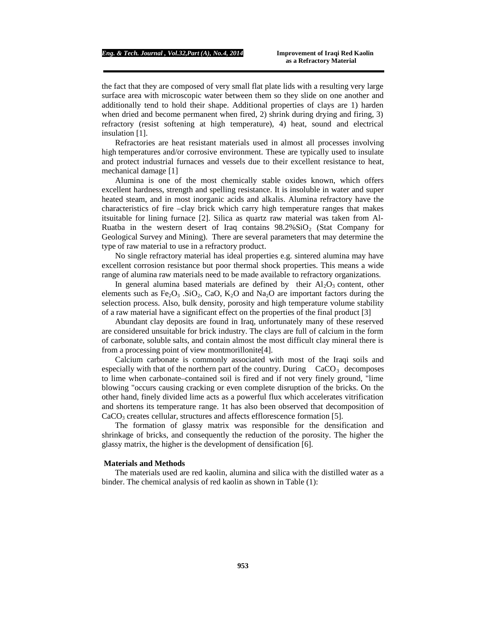the fact that they are composed of very small flat plate lids with a resulting very large surface area with microscopic water between them so they slide on one another and additionally tend to hold their shape. Additional properties of clays are 1) harden when dried and become permanent when fired, 2) shrink during drying and firing, 3) refractory (resist softening at high temperature), 4) heat, sound and electrical insulation [1].

Refractories are heat resistant materials used in almost all processes involving high temperatures and/or corrosive environment. These are typically used to insulate and protect industrial furnaces and vessels due to their excellent resistance to heat, mechanical damage [1]

Alumina is one of the most chemically stable oxides known, which offers excellent hardness, strength and spelling resistance. It is insoluble in water and super heated steam, and in most inorganic acids and alkalis. Alumina refractory have the characteristics of fire –clay brick which carry high temperature ranges that makes itsuitable for lining furnace [2]. Silica as quartz raw material was taken from Al-Ruatba in the western desert of Iraq contains  $98.2\%$ SiO<sub>2</sub> (Stat Company for Geological Survey and Mining). There are several parameters that may determine the type of raw material to use in a refractory product.

No single refractory material has ideal properties e.g. sintered alumina may have excellent corrosion resistance but poor thermal shock properties. This means a wide range of alumina raw materials need to be made available to refractory organizations.

In general alumina based materials are defined by their  $Al_2O_3$  content, other elements such as Fe<sub>2</sub>O<sub>3</sub> .SiO<sub>2</sub>, CaO, K<sub>2</sub>O and Na<sub>2</sub>O are important factors during the selection process. Also, bulk density, porosity and high temperature volume stability of a raw material have a significant effect on the properties of the final product [3]

Abundant clay deposits are found in Iraq, unfortunately many of these reserved are considered unsuitable for brick industry. The clays are full of calcium in the form of carbonate, soluble salts, and contain almost the most difficult clay mineral there is from a processing point of view montmorillonite[4].

Calcium carbonate is commonly associated with most of the Iraqi soils and especially with that of the northern part of the country. During  $CaCO<sub>3</sub>$  decomposes to lime when carbonate–contained soil is fired and if not very finely ground, "lime blowing "occurs causing cracking or even complete disruption of the bricks. On the other hand, finely divided lime acts as a powerful flux which accelerates vitrification and shortens its temperature range. 1t has also been observed that decomposition of  $CaCO<sub>3</sub>$  creates cellular, structures and affects efflorescence formation [5].

The formation of glassy matrix was responsible for the densification and shrinkage of bricks, and consequently the reduction of the porosity. The higher the glassy matrix, the higher is the development of densification [6].

#### **Materials and Methods**

The materials used are red kaolin, alumina and silica with the distilled water as a binder. The chemical analysis of red kaolin as shown in Table (1):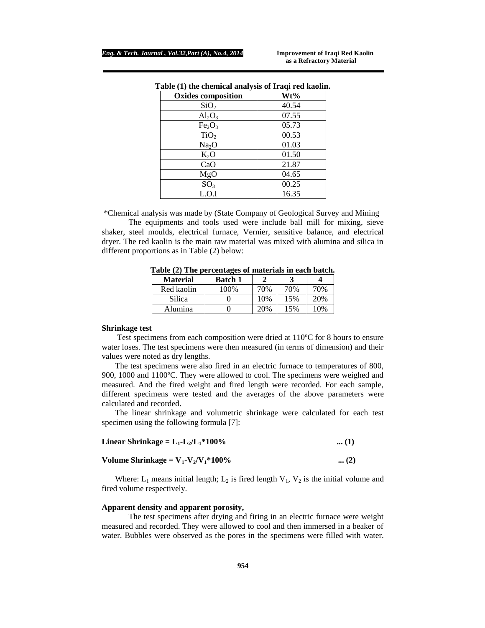| <b>Oxides composition</b>      | Wt%   |
|--------------------------------|-------|
| SiO <sub>2</sub>               | 40.54 |
| $Al_2O_3$                      | 07.55 |
| Fe <sub>2</sub> O <sub>3</sub> | 05.73 |
| TiO <sub>2</sub>               | 00.53 |
| Na <sub>2</sub> O              | 01.03 |
| $K_2O$                         | 01.50 |
| CaO                            | 21.87 |
| MgO                            | 04.65 |
| SO <sub>3</sub>                | 00.25 |
| L.O.I                          | 16.35 |

|  | Table (1) the chemical analysis of Iraqi red kaolin. |  |  |
|--|------------------------------------------------------|--|--|
|  |                                                      |  |  |

\*Chemical analysis was made by (State Company of Geological Survey and Mining

The equipments and tools used were include ball mill for mixing, sieve shaker, steel moulds, electrical furnace, Vernier, sensitive balance, and electrical dryer. The red kaolin is the main raw material was mixed with alumina and silica in different proportions as in Table (2) below:

| <b>Material</b> | <b>Batch 1</b> |     |     |     |
|-----------------|----------------|-----|-----|-----|
| Red kaolin      | 100%           | 70% | 70% | 70% |
| Silica          |                | 10% | 15% | 20% |
| Alumina         |                | 20% | 15% | 10% |

**Table (2) The percentages of materials in each batch.** 

#### **Shrinkage test**

Test specimens from each composition were dried at 110ºC for 8 hours to ensure water loses. The test specimens were then measured (in terms of dimension) and their values were noted as dry lengths.

The test specimens were also fired in an electric furnace to temperatures of 800, 900, 1000 and 1100ºC. They were allowed to cool. The specimens were weighed and measured. And the fired weight and fired length were recorded. For each sample, different specimens were tested and the averages of the above parameters were calculated and recorded.

The linear shrinkage and volumetric shrinkage were calculated for each test specimen using the following formula [7]:

| Linear Shrinkage = $L_1$ - $L_2/L_1$ *100% | $\dots(1)$ |
|--------------------------------------------|------------|
|--------------------------------------------|------------|

| Volume Shrinkage = $V_1 - V_2/V_1 * 100\%$ | $\dots (2)$ |
|--------------------------------------------|-------------|
|--------------------------------------------|-------------|

Where:  $L_1$  means initial length;  $L_2$  is fired length  $V_1$ ,  $V_2$  is the initial volume and fired volume respectively.

### **Apparent density and apparent porosity,**

The test specimens after drying and firing in an electric furnace were weight measured and recorded. They were allowed to cool and then immersed in a beaker of water. Bubbles were observed as the pores in the specimens were filled with water.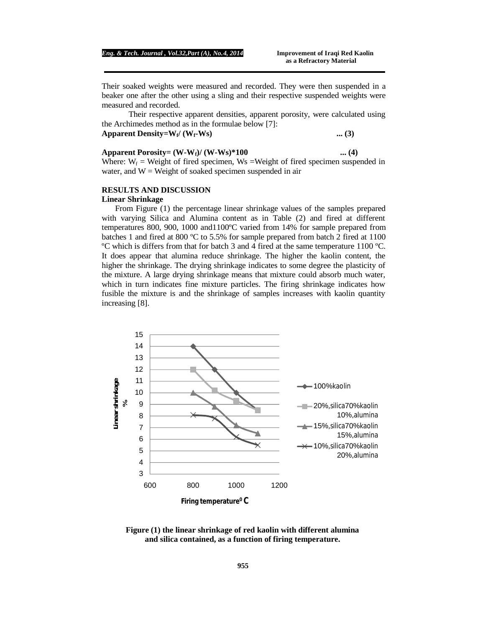Their soaked weights were measured and recorded. They were then suspended in a beaker one after the other using a sling and their respective suspended weights were measured and recorded.

Their respective apparent densities, apparent porosity, were calculated using the Archimedes method as in the formulae below [7]:

# **Apparent Density=W**<sub>t</sub> $\prime$  (W<sub>**f<sup></sub></sup>-Ws**) ... (3)</sub>

# **Apparent Porosity= (W-Wf)/ (W-Ws)\*100 ... (4)**  Where:  $W_f$  = Weight of fired specimen, Ws = Weight of fired specimen suspended in

water, and  $W = Weight of soaked specimen suspended in air$ 

# **RESULTS AND DISCUSSION**

#### **Linear Shrinkage**

From Figure (1) the percentage linear shrinkage values of the samples prepared with varying Silica and Alumina content as in Table (2) and fired at different temperatures 800, 900, 1000 and1100ºC varied from 14% for sample prepared from batches 1 and fired at 800  $\degree$ C to 5.5% for sample prepared from batch 2 fired at 1100 ºC which is differs from that for batch 3 and 4 fired at the same temperature 1100 ºC. It does appear that alumina reduce shrinkage. The higher the kaolin content, the higher the shrinkage. The drying shrinkage indicates to some degree the plasticity of the mixture. A large drying shrinkage means that mixture could absorb much water, which in turn indicates fine mixture particles. The firing shrinkage indicates how fusible the mixture is and the shrinkage of samples increases with kaolin quantity increasing [8].



**Figure (1) the linear shrinkage of red kaolin with different alumina and silica contained, as a function of firing temperature.**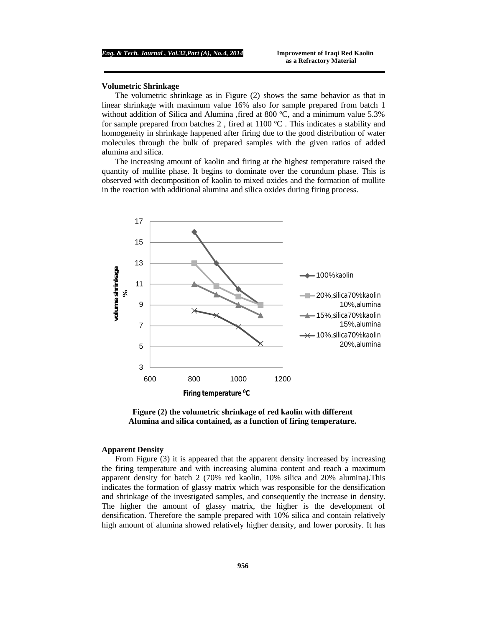# **Volumetric Shrinkage**

The volumetric shrinkage as in Figure (2) shows the same behavior as that in linear shrinkage with maximum value 16% also for sample prepared from batch 1 without addition of Silica and Alumina , fired at 800 °C, and a minimum value 5.3% for sample prepared from batches 2, fired at  $1100 \degree C$ . This indicates a stability and homogeneity in shrinkage happened after firing due to the good distribution of water molecules through the bulk of prepared samples with the given ratios of added alumina and silica.

The increasing amount of kaolin and firing at the highest temperature raised the quantity of mullite phase. It begins to dominate over the corundum phase. This is observed with decomposition of kaolin to mixed oxides and the formation of mullite in the reaction with additional alumina and silica oxides during firing process.



**Figure (2) the volumetric shrinkage of red kaolin with different Alumina and silica contained, as a function of firing temperature.** 

### **Apparent Density**

From Figure (3) it is appeared that the apparent density increased by increasing the firing temperature and with increasing alumina content and reach a maximum apparent density for batch 2 (70% red kaolin, 10% silica and 20% alumina).This indicates the formation of glassy matrix which was responsible for the densification and shrinkage of the investigated samples, and consequently the increase in density. The higher the amount of glassy matrix, the higher is the development of densification. Therefore the sample prepared with 10% silica and contain relatively high amount of alumina showed relatively higher density, and lower porosity. It has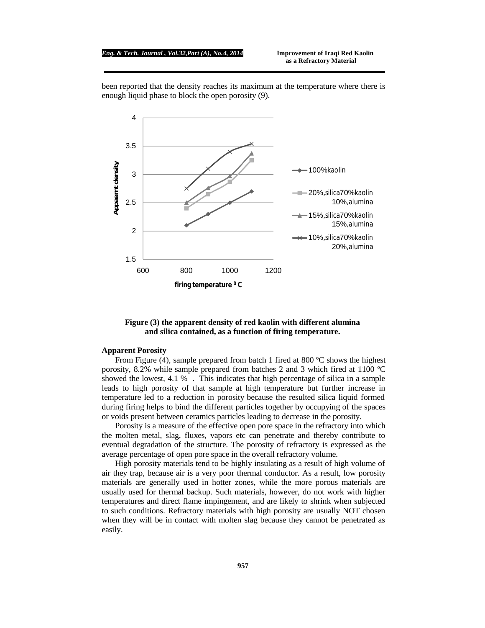#### *Eng. & Tech. Journal , Vol.32,Part (A), No.4, 2014* **Improvement of Iraqi Red Kaolin**

been reported that the density reaches its maximum at the temperature where there is enough liquid phase to block the open porosity (9).



# **Figure (3) the apparent density of red kaolin with different alumina and silica contained, as a function of firing temperature.**

#### **Apparent Porosity**

From Figure (4), sample prepared from batch 1 fired at 800 °C shows the highest porosity, 8.2% while sample prepared from batches 2 and 3 which fired at 1100 ºC showed the lowest,  $4.1\%$ . This indicates that high percentage of silica in a sample leads to high porosity of that sample at high temperature but further increase in temperature led to a reduction in porosity because the resulted silica liquid formed during firing helps to bind the different particles together by occupying of the spaces or voids present between ceramics particles leading to decrease in the porosity.

Porosity is a measure of the effective open pore space in the refractory into which the molten metal, slag, fluxes, vapors etc can penetrate and thereby contribute to eventual degradation of the structure. The porosity of refractory is expressed as the average percentage of open pore space in the overall refractory volume.

High porosity materials tend to be highly insulating as a result of high volume of air they trap, because air is a very poor thermal conductor. As a result, low porosity materials are generally used in hotter zones, while the more porous materials are usually used for thermal backup. Such materials, however, do not work with higher temperatures and direct flame impingement, and are likely to shrink when subjected to such conditions. Refractory materials with high porosity are usually NOT chosen when they will be in contact with molten slag because they cannot be penetrated as easily.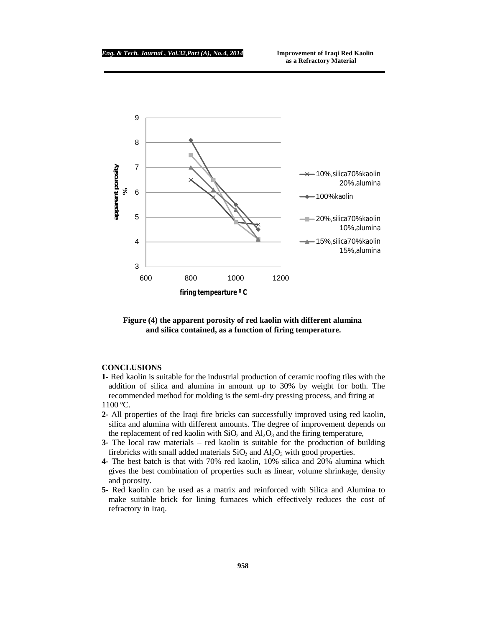# *Eng. & Tech. Journal , Vol.32,Part (A), No.4, 2014* **Improvement of Iraqi Red Kaolin**



# **Figure (4) the apparent porosity of red kaolin with different alumina and silica contained, as a function of firing temperature.**

# **CONCLUSIONS**

- **1-** Red kaolin is suitable for the industrial production of ceramic roofing tiles with the addition of silica and alumina in amount up to 30% by weight for both. The recommended method for molding is the semi-dry pressing process, and firing at 1100 ºC.
- **2-** All properties of the Iraqi fire bricks can successfully improved using red kaolin, silica and alumina with different amounts. The degree of improvement depends on the replacement of red kaolin with  $SiO<sub>2</sub>$  and  $Al<sub>2</sub>O<sub>3</sub>$  and the firing temperature,
- **3-** The local raw materials red kaolin is suitable for the production of building firebricks with small added materials  $SiO<sub>2</sub>$  and  $Al<sub>2</sub>O<sub>3</sub>$  with good properties.
- **4-** The best batch is that with 70% red kaolin, 10% silica and 20% alumina which gives the best combination of properties such as linear, volume shrinkage, density and porosity.
- **5-** Red kaolin can be used as a matrix and reinforced with Silica and Alumina to make suitable brick for lining furnaces which effectively reduces the cost of refractory in Iraq.